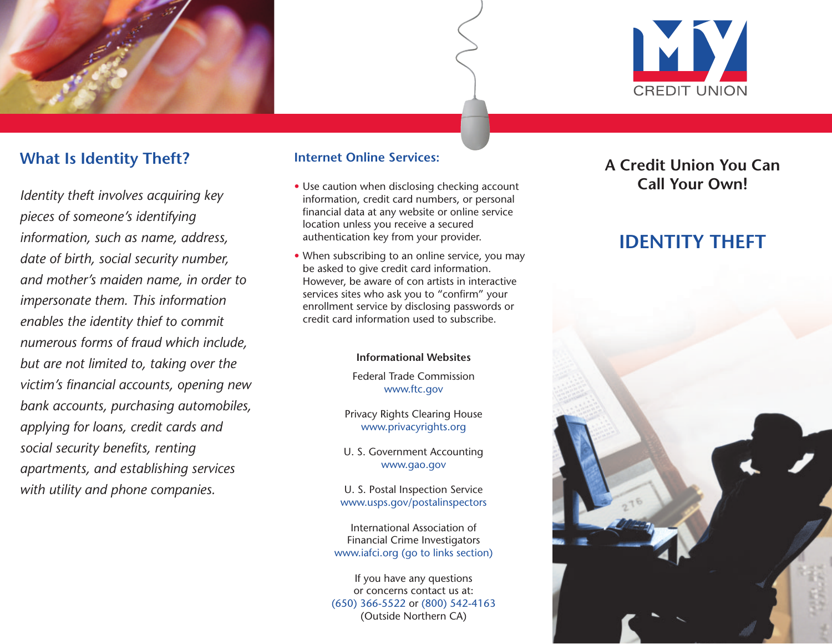

# **What Is Identity Theft?**

*Identity theft involves acquiring key pieces of someone's identifying information, such as name, address, date of birth, social security number, and mother's maiden name, in order to impersonate them. This information enables the identity thief to commit numerous forms of fraud which include, but are not limited to, taking over the victim's financial accounts, opening new bank accounts, purchasing automobiles, applying for loans, credit cards and social security benefits, renting apartments, and establishing services with utility and phone companies.*

#### **Internet Online Services:**

- Use caution when disclosing checking account information, credit card numbers, or personal financial data at any website or online service location unless you receive a secured authentication key from your provider.
- When subscribing to an online service, you may be asked to give credit card information. However, be aware of con artists in interactive services sites who ask you to "confirm" your enrollment service by disclosing passwords or credit card information used to subscribe.

#### **Informational Websites**

Federal Trade Commission www.ftc.gov

Privacy Rights Clearing House www.privacyrights.org

U. S. Government Accounting www.gao.gov

U. S. Postal Inspection Service www.usps.gov/postalinspectors

International Association of Financial Crime Investigators www.iafci.org (go to links section)

If you have any questions or concerns contact us at: (650) 366-5522 or (800) 542-4163 (Outside Northern CA)

## **A Credit Union You Can Call Your Own!**

# **IDENTITY THEFT**